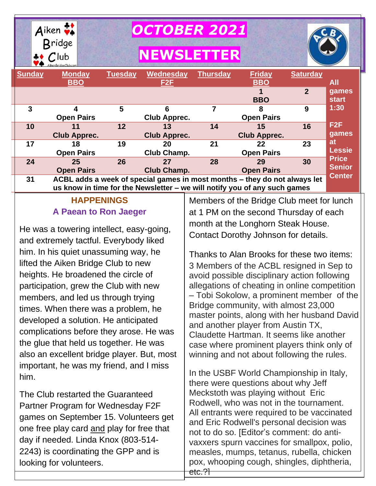

| <b>Sunday</b> | <b>Monday</b><br><b>BBO</b>                                                                                                                            | <b>Tuesday</b> | Wednesday<br>F <sub>2</sub> F | <b>Thursday</b> | <b>Friday</b><br><b>BBO</b> | <b>Saturday</b> | All                           |
|---------------|--------------------------------------------------------------------------------------------------------------------------------------------------------|----------------|-------------------------------|-----------------|-----------------------------|-----------------|-------------------------------|
|               |                                                                                                                                                        |                |                               |                 | <b>BBO</b>                  | $\overline{2}$  | games<br><b>start</b>         |
| 3             | 4<br><b>Open Pairs</b>                                                                                                                                 | 5              | Club Apprec.                  |                 | 8<br><b>Open Pairs</b>      | 9               | 1:30                          |
| 10            | 11<br><b>Club Apprec.</b>                                                                                                                              | 12             | 13<br><b>Club Apprec.</b>     | 14              | 15<br><b>Club Apprec.</b>   | 16              | F2F<br>games                  |
| 17            | 18<br><b>Open Pairs</b>                                                                                                                                | 19             | 20<br>Club Champ.             | 21              | 22<br><b>Open Pairs</b>     | 23              | at<br><b>Lessie</b>           |
| 24            | 25<br><b>Open Pairs</b>                                                                                                                                | 26             | 27<br><b>Club Champ.</b>      | 28              | 29<br><b>Open Pairs</b>     | 30              | <b>Price</b><br><b>Senior</b> |
| 31            | ACBL adds a week of special games in most months - they do not always let<br>us know in time for the Newsletter – we will notify you of any such games |                |                               |                 |                             |                 | <b>Center</b>                 |

# **HAPPENINGS A Paean to Ron Jaeger**

He was a towering intellect, easy-going, and extremely tactful. Everybody liked him. In his quiet unassuming way, he lifted the Aiken Bridge Club to new heights. He broadened the circle of participation, grew the Club with new members, and led us through trying times. When there was a problem, he developed a solution. He anticipated complications before they arose. He was the glue that held us together. He was also an excellent bridge player. But, most important, he was my friend, and I miss him.

The Club restarted the Guaranteed Partner Program for Wednesday F2F games on September 15. Volunteers get one free play card and play for free that day if needed. Linda Knox (803-514- 2243) is coordinating the GPP and is looking for volunteers.

Members of the Bridge Club meet for lunch at 1 PM on the second Thursday of each month at the Longhorn Steak House. Contact Dorothy Johnson for details.

Thanks to Alan Brooks for these two items: 3 Members of the ACBL resigned in Sep to avoid possible disciplinary action following allegations of cheating in online competition – Tobi Sokolow, a prominent member of the Bridge community, with almost 23,000 master points, along with her husband David and another player from Austin TX, Claudette Hartman. It seems like another case where prominent players think only of winning and not about following the rules.

In the USBF World Championship in Italy, there were questions about why Jeff Meckstoth was playing without Eric Rodwell, who was not in the tournament. All entrants were required to be vaccinated and Eric Rodwell's personal decision was not to do so. [Editor's comment: do antivaxxers spurn vaccines for smallpox, polio, measles, mumps, tetanus, rubella, chicken pox, whooping cough, shingles, diphtheria, etc.?<del>]</del>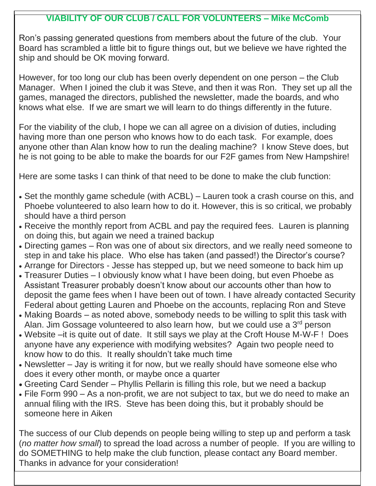### **VIABILITY OF OUR CLUB / CALL FOR VOLUNTEERS – Mike McComb**

Ron's passing generated questions from members about the future of the club. Your Board has scrambled a little bit to figure things out, but we believe we have righted the ship and should be OK moving forward.

However, for too long our club has been overly dependent on one person – the Club Manager. When I joined the club it was Steve, and then it was Ron. They set up all the games, managed the directors, published the newsletter, made the boards, and who knows what else. If we are smart we will learn to do things differently in the future.

For the viability of the club, I hope we can all agree on a division of duties, including having more than one person who knows how to do each task. For example, does anyone other than Alan know how to run the dealing machine? I know Steve does, but he is not going to be able to make the boards for our F2F games from New Hampshire!

Here are some tasks I can think of that need to be done to make the club function:

- Set the monthly game schedule (with ACBL) Lauren took a crash course on this, and Phoebe volunteered to also learn how to do it. However, this is so critical, we probably should have a third person
- Receive the monthly report from ACBL and pay the required fees. Lauren is planning on doing this, but again we need a trained backup
- Directing games Ron was one of about six directors, and we really need someone to step in and take his place. Who else has taken (and passed!) the Director's course?
- Arrange for Directors Jesse has stepped up, but we need someone to back him up
- Treasurer Duties I obviously know what I have been doing, but even Phoebe as Assistant Treasurer probably doesn't know about our accounts other than how to deposit the game fees when I have been out of town. I have already contacted Security Federal about getting Lauren and Phoebe on the accounts, replacing Ron and Steve
- Making Boards as noted above, somebody needs to be willing to split this task with Alan. Jim Gossage volunteered to also learn how, but we could use a  $3<sup>rd</sup>$  person
- Website –it is quite out of date. It still says we play at the Croft House M-W-F ! Does anyone have any experience with modifying websites? Again two people need to know how to do this. It really shouldn't take much time
- Newsletter Jay is writing it for now, but we really should have someone else who does it every other month, or maybe once a quarter
- Greeting Card Sender Phyllis Pellarin is filling this role, but we need a backup
- File Form 990 As a non-profit, we are not subject to tax, but we do need to make an annual filing with the IRS. Steve has been doing this, but it probably should be someone here in Aiken

 Thanks in advance for your consideration!The success of our Club depends on people being willing to step up and perform a task (*no matter how small*) to spread the load across a number of people. If you are willing to do SOMETHING to help make the club function, please contact any Board member.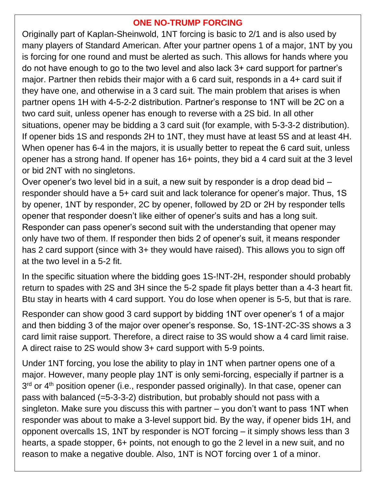### **ONE NO-TRUMP FORCING**

Originally part of Kaplan-Sheinwold, 1NT forcing is basic to 2/1 and is also used by many players of Standard American. After your partner opens 1 of a major, 1NT by you is forcing for one round and must be alerted as such. This allows for hands where you do not have enough to go to the two level and also lack 3+ card support for partner's major. Partner then rebids their major with a 6 card suit, responds in a 4+ card suit if they have one, and otherwise in a 3 card suit. The main problem that arises is when partner opens 1H with 4-5-2-2 distribution. Partner's response to 1NT will be 2C on a two card suit, unless opener has enough to reverse with a 2S bid. In all other situations, opener may be bidding a 3 card suit (for example, with 5-3-3-2 distribution). If opener bids 1S and responds 2H to 1NT, they must have at least 5S and at least 4H. When opener has 6-4 in the majors, it is usually better to repeat the 6 card suit, unless opener has a strong hand. If opener has 16+ points, they bid a 4 card suit at the 3 level or bid 2NT with no singletons.

Over opener's two level bid in a suit, a new suit by responder is a drop dead bid – responder should have a 5+ card suit and lack tolerance for opener's major. Thus, 1S by opener, 1NT by responder, 2C by opener, followed by 2D or 2H by responder tells opener that responder doesn't like either of opener's suits and has a long suit. Responder can pass opener's second suit with the understanding that opener may only have two of them. If responder then bids 2 of opener's suit, it means responder has 2 card support (since with 3+ they would have raised). This allows you to sign off at the two level in a 5-2 fit.

In the specific situation where the bidding goes 1S-!NT-2H, responder should probably return to spades with 2S and 3H since the 5-2 spade fit plays better than a 4-3 heart fit. Btu stay in hearts with 4 card support. You do lose when opener is 5-5, but that is rare.

Responder can show good 3 card support by bidding 1NT over opener's 1 of a major and then bidding 3 of the major over opener's response. So, 1S-1NT-2C-3S shows a 3 card limit raise support. Therefore, a direct raise to 3S would show a 4 card limit raise. A direct raise to 2S would show 3+ card support with 5-9 points.

Under 1NT forcing, you lose the ability to play in 1NT when partner opens one of a major. However, many people play 1NT is only semi-forcing, especially if partner is a 3<sup>rd</sup> or 4<sup>th</sup> position opener (i.e., responder passed originally). In that case, opener can pass with balanced (=5-3-3-2) distribution, but probably should not pass with a singleton. Make sure you discuss this with partner – you don't want to pass 1NT when responder was about to make a 3-level support bid. By the way, if opener bids 1H, and opponent overcalls 1S, 1NT by responder is NOT forcing – it simply shows less than 3 hearts, a spade stopper, 6+ points, not enough to go the 2 level in a new suit, and no reason to make a negative double. Also, 1NT is NOT forcing over 1 of a minor.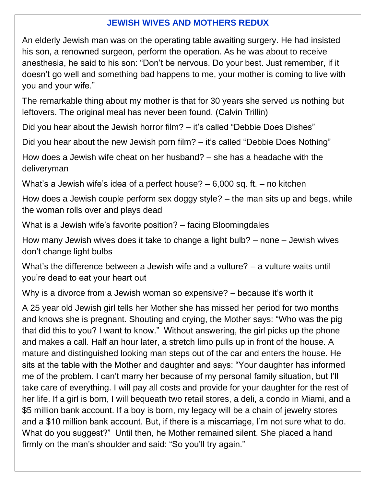### **JEWISH WIVES AND MOTHERS REDUX**

An elderly Jewish man was on the operating table awaiting surgery. He had insisted his son, a renowned surgeon, perform the operation. As he was about to receive anesthesia, he said to his son: "Don't be nervous. Do your best. Just remember, if it doesn't go well and something bad happens to me, your mother is coming to live with you and your wife."

The remarkable thing about my mother is that for 30 years she served us nothing but leftovers. The original meal has never been found. (Calvin Trillin)

Did you hear about the Jewish horror film? – it's called "Debbie Does Dishes"

Did you hear about the new Jewish porn film? – it's called "Debbie Does Nothing"

How does a Jewish wife cheat on her husband? – she has a headache with the deliveryman

What's a Jewish wife's idea of a perfect house? – 6,000 sq. ft. – no kitchen

How does a Jewish couple perform sex doggy style? – the man sits up and begs, while the woman rolls over and plays dead

What is a Jewish wife's favorite position? – facing Bloomingdales

How many Jewish wives does it take to change a light bulb? – none – Jewish wives don't change light bulbs

What's the difference between a Jewish wife and a vulture? – a vulture waits until you're dead to eat your heart out

Why is a divorce from a Jewish woman so expensive? – because it's worth it

A 25 year old Jewish girl tells her Mother she has missed her period for two months and knows she is pregnant. Shouting and crying, the Mother says: "Who was the pig that did this to you? I want to know." Without answering, the girl picks up the phone and makes a call. Half an hour later, a stretch limo pulls up in front of the house. A mature and distinguished looking man steps out of the car and enters the house. He sits at the table with the Mother and daughter and says: "Your daughter has informed me of the problem. I can't marry her because of my personal family situation, but I'll take care of everything. I will pay all costs and provide for your daughter for the rest of her life. If a girl is born, I will bequeath two retail stores, a deli, a condo in Miami, and a \$5 million bank account. If a boy is born, my legacy will be a chain of jewelry stores and a \$10 million bank account. But, if there is a miscarriage, I'm not sure what to do. What do you suggest?" Until then, he Mother remained silent. She placed a hand firmly on the man's shoulder and said: "So you'll try again."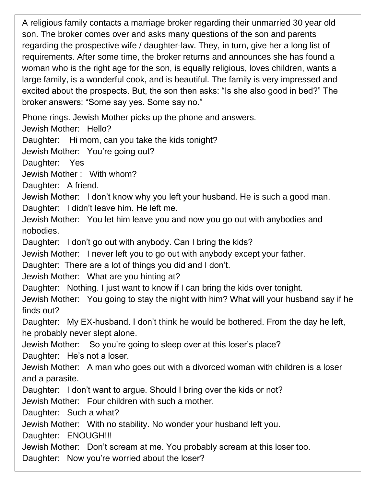A religious family contacts a marriage broker regarding their unmarried 30 year old son. The broker comes over and asks many questions of the son and parents regarding the prospective wife / daughter-law. They, in turn, give her a long list of requirements. After some time, the broker returns and announces she has found a woman who is the right age for the son, is equally religious, loves children, wants a large family, is a wonderful cook, and is beautiful. The family is very impressed and excited about the prospects. But, the son then asks: "Is she also good in bed?" The broker answers: "Some say yes. Some say no."

Phone rings. Jewish Mother picks up the phone and answers.

Jewish Mother: Hello?

Daughter: Hi mom, can you take the kids tonight?

Jewish Mother: You're going out?

Daughter: Yes

Jewish Mother : With whom?

Daughter: A friend.

Jewish Mother: I don't know why you left your husband. He is such a good man. Daughter: I didn't leave him. He left me.

Jewish Mother: You let him leave you and now you go out with anybodies and nobodies.

Daughter: I don't go out with anybody. Can I bring the kids?

Jewish Mother: I never left you to go out with anybody except your father.

Daughter: There are a lot of things you did and I don't.

Jewish Mother: What are you hinting at?

Daughter: Nothing. I just want to know if I can bring the kids over tonight.

Jewish Mother: You going to stay the night with him? What will your husband say if he finds out?

Daughter: My EX-husband. I don't think he would be bothered. From the day he left, he probably never slept alone.

Jewish Mother: So you're going to sleep over at this loser's place?

Daughter: He's not a loser.

Jewish Mother: A man who goes out with a divorced woman with children is a loser and a parasite.

Daughter: I don't want to argue. Should I bring over the kids or not?

Jewish Mother: Four children with such a mother.

Daughter: Such a what?

Jewish Mother: With no stability. No wonder your husband left you.

Daughter: ENOUGH!!!

Jewish Mother: Don't scream at me. You probably scream at this loser too.

Daughter: Now you're worried about the loser?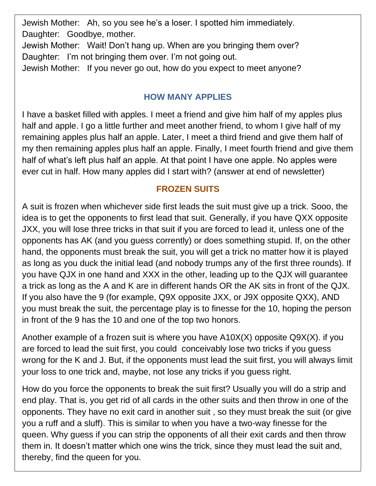Jewish Mother: Ah, so you see he's a loser. I spotted him immediately. Daughter: Goodbye, mother.

Jewish Mother: Wait! Don't hang up. When are you bringing them over? Daughter: I'm not bringing them over. I'm not going out.

Jewish Mother: If you never go out, how do you expect to meet anyone?

## **HOW MANY APPLIES**

I have a basket filled with apples. I meet a friend and give him half of my apples plus half and apple. I go a little further and meet another friend, to whom I give half of my remaining apples plus half an apple. Later, I meet a third friend and give them half of my then remaining apples plus half an apple. Finally, I meet fourth friend and give them half of what's left plus half an apple. At that point I have one apple. No apples were ever cut in half. How many apples did I start with? (answer at end of newsletter)

# **FROZEN SUITS**

A suit is frozen when whichever side first leads the suit must give up a trick. Sooo, the idea is to get the opponents to first lead that suit. Generally, if you have QXX opposite JXX, you will lose three tricks in that suit if you are forced to lead it, unless one of the opponents has AK (and you guess corrently) or does something stupid. If, on the other hand, the opponents must break the suit, you will get a trick no matter how it is played as long as you duck the initial lead (and nobody trumps any of the first three rounds). If you have QJX in one hand and XXX in the other, leading up to the QJX will guarantee a trick as long as the A and K are in different hands OR the AK sits in front of the QJX. If you also have the 9 (for example, Q9X opposite JXX, or J9X opposite QXX), AND you must break the suit, the percentage play is to finesse for the 10, hoping the person in front of the 9 has the 10 and one of the top two honors.

Another example of a frozen suit is where you have A10X(X) opposite Q9X(X). if you are forced to lead the suit first, you could conceivably lose two tricks if you guess wrong for the K and J. But, if the opponents must lead the suit first, you will always limit your loss to one trick and, maybe, not lose any tricks if you guess right.

How do you force the opponents to break the suit first? Usually you will do a strip and end play. That is, you get rid of all cards in the other suits and then throw in one of the opponents. They have no exit card in another suit , so they must break the suit (or give you a ruff and a sluff). This is similar to when you have a two-way finesse for the queen. Why guess if you can strip the opponents of all their exit cards and then throw them in. It doesn't matter which one wins the trick, since they must lead the suit and, thereby, find the queen for you.